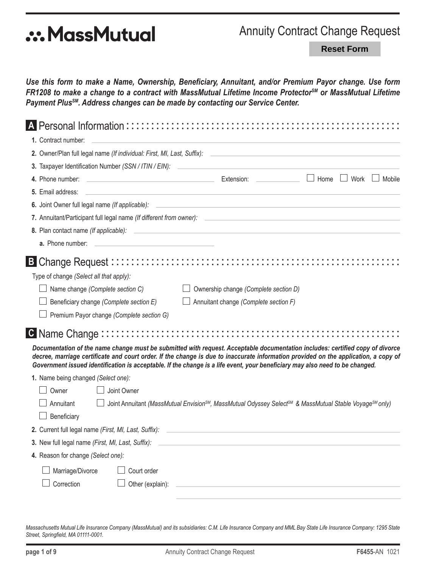# **.:. MassMutual**

# **Annuity Contract Change Request**

**Reset Form** 

Use this form to make a Name, Ownership, Beneficiary, Annuitant, and/or Premium Payor change. Use form FR1208 to make a change to a contract with MassMutual Lifetime Income Protector<sup>SM</sup> or MassMutual Lifetime Payment Plus<sup>SM</sup>. Address changes can be made by contacting our Service Center.

|                                         | A Personal Information::::::::::::::::::::      |                                                                                                                              |                                                                                                                                                                                                                                                                      |
|-----------------------------------------|-------------------------------------------------|------------------------------------------------------------------------------------------------------------------------------|----------------------------------------------------------------------------------------------------------------------------------------------------------------------------------------------------------------------------------------------------------------------|
| 1. Contract number:                     |                                                 |                                                                                                                              |                                                                                                                                                                                                                                                                      |
|                                         |                                                 |                                                                                                                              |                                                                                                                                                                                                                                                                      |
|                                         |                                                 | 3. Taxpayer Identification Number (SSN / ITIN / EIN):                                                                        |                                                                                                                                                                                                                                                                      |
| 4. Phone number:                        |                                                 | <u> Extension: Extension: Extension: Extension: Extension: Extension: Extension: Extension: Extension:</u>                   | $\Box$ Home<br>$\Box$ Work<br>Mobile                                                                                                                                                                                                                                 |
| 5. Email address:                       |                                                 | <u> 1989 - Johann Stoff, deutscher Stoff, der Stoff, der Stoff, der Stoff, der Stoff, der Stoff, der Stoff, der S</u>        |                                                                                                                                                                                                                                                                      |
|                                         | 6. Joint Owner full legal name (If applicable): |                                                                                                                              |                                                                                                                                                                                                                                                                      |
|                                         |                                                 |                                                                                                                              |                                                                                                                                                                                                                                                                      |
| 8. Plan contact name (If applicable):   |                                                 | <u> 1989 - Johann Stoff, deutscher Stoffen und der Stoffen und der Stoffen und der Stoffen und der Stoffen und der</u>       |                                                                                                                                                                                                                                                                      |
| a. Phone number:                        |                                                 |                                                                                                                              |                                                                                                                                                                                                                                                                      |
|                                         |                                                 |                                                                                                                              |                                                                                                                                                                                                                                                                      |
| Type of change (Select all that apply): |                                                 |                                                                                                                              |                                                                                                                                                                                                                                                                      |
|                                         | Name change (Complete section C)                | Ownership change (Complete section D)                                                                                        |                                                                                                                                                                                                                                                                      |
|                                         | Beneficiary change (Complete section E)         | Annuitant change (Complete section F)                                                                                        |                                                                                                                                                                                                                                                                      |
|                                         | Premium Payor change (Complete section G)       |                                                                                                                              |                                                                                                                                                                                                                                                                      |
|                                         |                                                 |                                                                                                                              |                                                                                                                                                                                                                                                                      |
|                                         |                                                 |                                                                                                                              |                                                                                                                                                                                                                                                                      |
|                                         |                                                 | Government issued identification is acceptable. If the change is a life event, your beneficiary may also need to be changed. | Documentation of the name change must be submitted with request. Acceptable documentation includes: certified copy of divorce<br>decree, marriage certificate and court order. If the change is due to inaccurate information provided on the application, a copy of |
| 1. Name being changed (Select one):     |                                                 |                                                                                                                              |                                                                                                                                                                                                                                                                      |
| Owner                                   | Joint Owner                                     |                                                                                                                              |                                                                                                                                                                                                                                                                      |
| Annuitant                               |                                                 |                                                                                                                              | Joint Annuitant (MassMutual Envision <sup>SM</sup> , MassMutual Odyssey Select <sup>SM</sup> & MassMutual Stable Voyage <sup>SM</sup> only)                                                                                                                          |
| Beneficiary                             |                                                 |                                                                                                                              |                                                                                                                                                                                                                                                                      |
|                                         |                                                 |                                                                                                                              |                                                                                                                                                                                                                                                                      |
|                                         |                                                 | 3. New full legal name (First, MI, Last, Suffix): ______________________________                                             |                                                                                                                                                                                                                                                                      |
| 4. Reason for change (Select one):      |                                                 |                                                                                                                              |                                                                                                                                                                                                                                                                      |
| Marriage/Divorce                        | Court order                                     |                                                                                                                              |                                                                                                                                                                                                                                                                      |
| Correction                              | Other (explain):                                |                                                                                                                              |                                                                                                                                                                                                                                                                      |
|                                         |                                                 |                                                                                                                              |                                                                                                                                                                                                                                                                      |

Massachusetts Mutual Life Insurance Company (MassMutual) and its subsidiaries: C.M. Life Insurance Company and MML Bay State Life Insurance Company: 1295 State Street, Springfield, MA 01111-0001.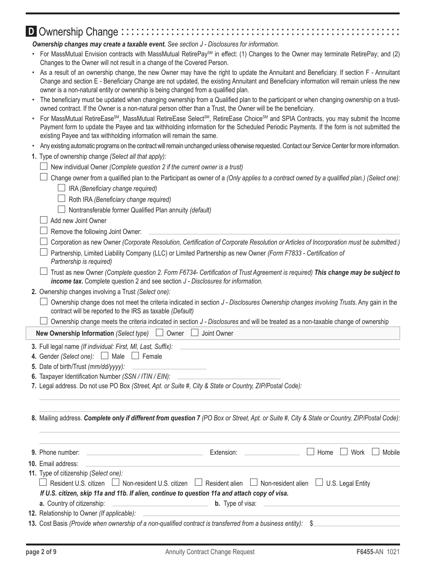## **D** Ownership Change ::::::::

*Ownership changes may create a taxable event. See section J - Disclosures for information.*

- For MassMutual Envision contracts with MassMutual RetirePay<sup>SM</sup> in effect: (1) Changes to the Owner may terminate RetirePay; and (2) Changes to the Owner will not result in a change of the Covered Person.
- As a result of an ownership change, the new Owner may have the right to update the Annuitant and Beneficiary. If section F Annuitant Change and section E - Beneficiary Change are not updated, the existing Annuitant and Beneficiary information will remain unless the new owner is a non-natural entity or ownership is being changed from a qualified plan.
- The beneficiary must be updated when changing ownership from a Qualified plan to the participant or when changing ownership on a trustowned contract. If the Owner is a non-natural person other than a Trust, the Owner will be the beneficiary.
- For MassMutual RetireEase<sup>sM</sup>, MassMutual RetireEase Select<sup>sM</sup>, RetireEase Choice<sup>sM</sup> and SPIA Contracts, you may submit the Income Payment form to update the Payee and tax withholding information for the Scheduled Periodic Payments. If the form is not submitted the existing Payee and tax withholding information will remain the same.
- Any existing automatic programs on the contract will remain unchanged unless otherwise requested. Contact our Service Center for more information.
- **1.** Type of ownership change *(Select all that apply):*
	- New individual Owner *(Complete question 2 if the current owner is a trust)*

|  |  |  | $\Box$ Change owner from a qualified plan to the Participant as owner of a (Only applies to a contract owned by a qualified plan.) (Select one): |  |
|--|--|--|--------------------------------------------------------------------------------------------------------------------------------------------------|--|
|  |  |  |                                                                                                                                                  |  |

- IRA *(Beneficiary change required)*
- Roth IRA *(Beneficiary change required)*
- Nontransferable former Qualified Plan annuity *(default)*

#### Add new Joint Owner

#### $\Box$  Remove the following Joint Owner:

- Corporation as new Owner *(Corporate Resolution, Certification of Corporate Resolution or Articles of Incorporation must be submitted.)*
- Partnership, Limited Liability Company (LLC) or Limited Partnership as new Owner *(Form F7833 Certification of Partnership is required)*
- Trust as new Owner *(Complete question 2. Form F6734- Certification of Trust Agreement is required) This change may be subject to income tax.* Complete question 2 and see section *J - Disclosures for information.*
- **2.** Ownership changes involving a Trust *(Select one):*
	- Ownership change does not meet the criteria indicated in section *J Disclosures Ownership changes involving Trusts*. Any gain in the contract will be reported to the IRS as taxable *(Default)*
	- Ownership change meets the criteria indicated in section *J Disclosures* and will be treated as a non-taxable change of ownership

**New Ownership Information** *(Select type)*  $\Box$  Owner  $\Box$  Joint Owner

**3.** Full legal name *(If individual: First, MI, Last, Suffix):*

- **4.** Gender *(Select one):*  $\Box$  Male  $\Box$  Female
- **5.** Date of birth/Trust *(mm/dd/yyyy):*
- **6.** Taxpayer Identification Number *(SSN / ITIN / EIN):*
- **7.** Legal address. Do not use PO Box *(Street, Apt. or Suite #, City & State or Country, ZIP/Postal Code):*

**8.** Mailing address. *Complete only if different from question 7 (PO Box or Street, Apt. or Suite #, City & State or Country, ZIP/Postal Code):*

|                                                                                                               | Extension: Extension:                   | $\vert$   Home $\vert$ | $\Box$ Work $\Box$ Mobile |
|---------------------------------------------------------------------------------------------------------------|-----------------------------------------|------------------------|---------------------------|
| 10. Email address:                                                                                            |                                         |                        |                           |
| 11. Type of citizenship (Select one):                                                                         |                                         |                        |                           |
| □ Resident U.S. citizen □ Non-resident U.S. citizen □ Resident alien □ Non-resident alien □ U.S. Legal Entity |                                         |                        |                           |
| If U.S. citizen, skip 11a and 11b. If alien, continue to question 11a and attach copy of visa.                |                                         |                        |                           |
|                                                                                                               | <b>b.</b> Type of visa: $\qquad \qquad$ |                        |                           |
| 12. Relationship to Owner (If applicable):                                                                    |                                         |                        |                           |
| 13. Cost Basis (Provide when ownership of a non-qualified contract is transferred from a business entity): \$ |                                         |                        |                           |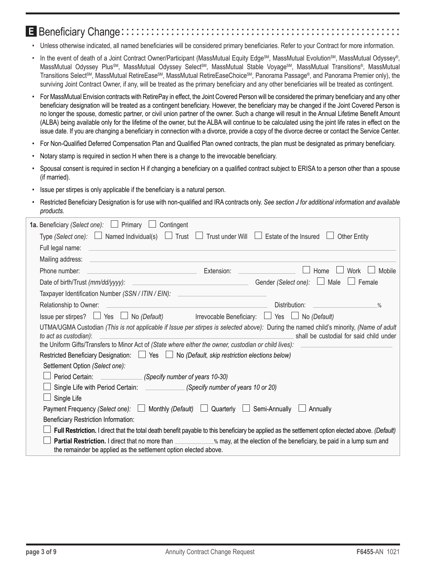# E Beneficiary Change::::::::::

- Unless otherwise indicated, all named beneficiaries will be considered primary beneficiaries. Refer to your Contract for more information.
- In the event of death of a Joint Contract Owner/Participant (MassMutual Equity Edge<sup>SM</sup>, MassMutual Evolution<sup>SM</sup>, MassMutual Odyssey®, MassMutual Odyssey Plus<sup>SM</sup>, MassMutual Odyssey Select<sup>SM</sup>, MassMutual Stable Voyage<sup>SM</sup>, MassMutual Transitions®, MassMutual Transitions Select<sup>SM</sup>, MassMutual RetireEase<sup>SM</sup>, MassMutual RetireEaseChoice<sup>SM</sup>, Panorama Passage®, and Panorama Premier only), the surviving Joint Contract Owner, if any, will be treated as the primary beneficiary and any other beneficiaries will be treated as contingent.
- For MassMutual Envision contracts with RetirePay in effect, the Joint Covered Person will be considered the primary beneficiary and any other beneficiary designation will be treated as a contingent beneficiary. However, the beneficiary may be changed if the Joint Covered Person is no longer the spouse, domestic partner, or civil union partner of the owner. Such a change will result in the Annual Lifetime Benefit Amount (ALBA) being available only for the lifetime of the owner, but the ALBA will continue to be calculated using the joint life rates in effect on the issue date. If you are changing a beneficiary in connection with a divorce, provide a copy of the divorce decree or contact the Service Center.
- For Non-Qualified Deferred Compensation Plan and Qualified Plan owned contracts, the plan must be designated as primary beneficiary.
- Notary stamp is required in section H when there is a change to the irrevocable beneficiary.
- Spousal consent is required in section H if changing a beneficiary on a qualified contract subject to ERISA to a person other than a spouse (if married).
- Issue per stirpes is only applicable if the beneficiary is a natural person.
- Restricted Beneficiary Designation is for use with non-qualified and IRA contracts only. *See section J for additional information and available products.*

| 1a. Beneficiary (Select one): $\Box$ Primary L<br>Contingent                                                                                                                                                                                                             |                                                                                                                       |                                                         |                                         |
|--------------------------------------------------------------------------------------------------------------------------------------------------------------------------------------------------------------------------------------------------------------------------|-----------------------------------------------------------------------------------------------------------------------|---------------------------------------------------------|-----------------------------------------|
| Type (Select one): $\Box$ Named Individual(s) $\Box$ Trust $\Box$                                                                                                                                                                                                        |                                                                                                                       | Trust under Will $\Box$ Estate of the Insured           | <b>Other Entity</b>                     |
| Full legal name:                                                                                                                                                                                                                                                         |                                                                                                                       |                                                         |                                         |
| Mailing address:                                                                                                                                                                                                                                                         |                                                                                                                       |                                                         |                                         |
| Phone number:<br><u> 1990 - Johann Barn, mars ann an t-Amhain an t-Amhain an t-Amhain an t-Amhain an t-Amhain an t-Amhain an t-A</u>                                                                                                                                     | Extension:                                                                                                            | Home                                                    | Mobile<br>Work                          |
| Date of birth/Trust (mm/dd/yyyy):                                                                                                                                                                                                                                        | <u> 1989 - Johann Barbara, martin amerikan basal dan berasal dalam basal dalam basal dalam basal dalam basal dala</u> | Gender (Select one):<br>Male<br>$\perp$                 | Female                                  |
| Taxpayer Identification Number (SSN / ITIN / EIN):                                                                                                                                                                                                                       |                                                                                                                       |                                                         |                                         |
| Relationship to Owner:                                                                                                                                                                                                                                                   |                                                                                                                       | Distribution:                                           | $\%$                                    |
| Issue per stirpes? $\Box$ Yes $\Box$ No (Default)                                                                                                                                                                                                                        |                                                                                                                       | Irrevocable Beneficiary: $\Box$ Yes $\Box$ No (Default) |                                         |
| UTMA/UGMA Custodian (This is not applicable if Issue per stirpes is selected above): During the named child's minority, (Name of adult<br>to act as custodian):<br>the Uniform Gifts/Transfers to Minor Act of (State where either the owner, custodian or child lives): |                                                                                                                       |                                                         | shall be custodial for said child under |
| Restricted Beneficiary Designation: $\Box$ Yes $\Box$ No (Default, skip restriction elections below)                                                                                                                                                                     |                                                                                                                       |                                                         |                                         |
| Settlement Option (Select one):                                                                                                                                                                                                                                          |                                                                                                                       |                                                         |                                         |
| Period Certain:<br>(Specify number of years 10-30)                                                                                                                                                                                                                       |                                                                                                                       |                                                         |                                         |
| Single Life with Period Certain: (Specify number of years 10 or 20)<br>Single Life                                                                                                                                                                                       |                                                                                                                       |                                                         |                                         |
| Payment Frequency (Select one): $\Box$ Monthly (Default) $\Box$                                                                                                                                                                                                          | Quarterly                                                                                                             | Semi-Annually<br>Annually                               |                                         |
| Beneficiary Restriction Information:                                                                                                                                                                                                                                     |                                                                                                                       |                                                         |                                         |
| Full Restriction. I direct that the total death benefit payable to this beneficiary be applied as the settlement option elected above. (Default)                                                                                                                         |                                                                                                                       |                                                         |                                         |
| Partial Restriction. I direct that no more than ___________% may, at the election of the beneficiary, be paid in a lump sum and<br>the remainder be applied as the settlement option elected above.                                                                      |                                                                                                                       |                                                         |                                         |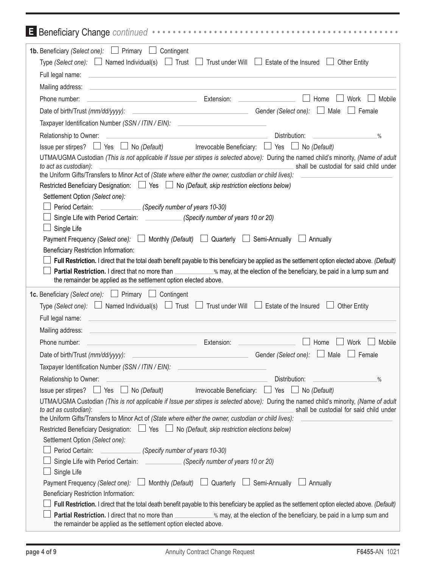| Beneficiary Change continued www.www.www.www.www.www.www.ww.we                                                                                                                                                                                                               |        |
|------------------------------------------------------------------------------------------------------------------------------------------------------------------------------------------------------------------------------------------------------------------------------|--------|
| <b>1b.</b> Beneficiary (Select one): $\Box$ Primary $\Box$ Contingent                                                                                                                                                                                                        |        |
| Type (Select one): $\Box$ Named Individual(s) $\Box$ Trust $\Box$ Trust under Will $\Box$ Estate of the Insured $\Box$ Other Entity                                                                                                                                          |        |
| Full legal name:<br>and the control of the control of the control of the control of the control of the control of the control of the                                                                                                                                         |        |
| Mailing address:                                                                                                                                                                                                                                                             |        |
| <u>Extension: Extension: Extension: Extension: Extension: Extension: Extension: Extension: Extension: Extension: Extension: Extension: Extension: Extension: Extension: Extension: Extension: Extension: Extension: Extension: E</u><br>$\Box$ Home<br>Phone number:<br>Work | Mobile |
| $\Box$ Female                                                                                                                                                                                                                                                                |        |
| Taxpayer Identification Number (SSN / ITIN / EIN): _____________________________                                                                                                                                                                                             |        |
| Distribution:<br>Relationship to Owner:<br><u> 1980 - Johann Barn, amerikansk politiker (d. 1980)</u><br>$\frac{0}{0}$                                                                                                                                                       |        |
| Issue per stirpes? $\Box$ Yes $\Box$ No (Default) Irrevocable Beneficiary: $\Box$ Yes $\Box$ No (Default)                                                                                                                                                                    |        |
| UTMA/UGMA Custodian (This is not applicable if Issue per stirpes is selected above): During the named child's minority, (Name of adult<br>shall be custodial for said child under<br>to act as custodian):                                                                   |        |
| the Uniform Gifts/Transfers to Minor Act of (State where either the owner, custodian or child lives):                                                                                                                                                                        |        |
| Restricted Beneficiary Designation: $\Box$ Yes $\Box$ No (Default, skip restriction elections below)                                                                                                                                                                         |        |
| Settlement Option (Select one):                                                                                                                                                                                                                                              |        |
| Period Certain: (Specify number of years 10-30)<br>Single Life with Period Certain: (Specify number of years 10 or 20)                                                                                                                                                       |        |
| Single Life                                                                                                                                                                                                                                                                  |        |
| Payment Frequency (Select one): $\Box$ Monthly (Default) $\Box$ Quarterly $\Box$ Semi-Annually $\Box$ Annually                                                                                                                                                               |        |
| Beneficiary Restriction Information:                                                                                                                                                                                                                                         |        |
| Full Restriction. I direct that the total death benefit payable to this beneficiary be applied as the settlement option elected above. (Default)                                                                                                                             |        |
| Partial Restriction. I direct that no more than ____________% may, at the election of the beneficiary, be paid in a lump sum and                                                                                                                                             |        |
| the remainder be applied as the settlement option elected above.                                                                                                                                                                                                             |        |
| <b>1c.</b> Beneficiary (Select one): $\Box$ Primary $\Box$ Contingent                                                                                                                                                                                                        |        |
| Type (Select one): $\Box$ Named Individual(s) $\Box$ Trust $\Box$ Trust under Will $\Box$ Estate of the Insured $\Box$ Other Entity                                                                                                                                          |        |
| Full legal name:                                                                                                                                                                                                                                                             |        |
| Mailing address:                                                                                                                                                                                                                                                             |        |
| Phone number:<br>Extension:<br>Work<br>Home                                                                                                                                                                                                                                  | Mobile |
| Gender (Select one): $\Box$ Male<br><u> 1989 - Johann Barbara, martxa al</u><br>Female<br>Date of birth/Trust (mm/dd/yyyy):                                                                                                                                                  |        |
| Taxpayer Identification Number (SSN / ITIN / EIN):                                                                                                                                                                                                                           |        |
| Relationship to Owner:<br>Distribution:<br>$\frac{0}{0}$                                                                                                                                                                                                                     |        |
| Issue per stirpes? $\Box$ Yes $\Box$ No (Default) Irrevocable Beneficiary: $\Box$ Yes $\Box$ No (Default)                                                                                                                                                                    |        |
| UTMA/UGMA Custodian (This is not applicable if Issue per stirpes is selected above): During the named child's minority, (Name of adult                                                                                                                                       |        |
| shall be custodial for said child under<br>to act as custodian):<br>the Uniform Gifts/Transfers to Minor Act of (State where either the owner, custodian or child lives):                                                                                                    |        |
| Restricted Beneficiary Designation: $\Box$ Yes $\Box$ No (Default, skip restriction elections below)                                                                                                                                                                         |        |
| Settlement Option (Select one):                                                                                                                                                                                                                                              |        |
| Period Certain: (Specify number of years 10-30)                                                                                                                                                                                                                              |        |
| Single Life with Period Certain: (Specify number of years 10 or 20)                                                                                                                                                                                                          |        |
| Single Life                                                                                                                                                                                                                                                                  |        |
| Payment Frequency (Select one): $\Box$ Monthly (Default) $\Box$ Quarterly $\Box$ Semi-Annually $\Box$ Annually                                                                                                                                                               |        |
| Beneficiary Restriction Information:                                                                                                                                                                                                                                         |        |
| Full Restriction. I direct that the total death benefit payable to this beneficiary be applied as the settlement option elected above. (Default)                                                                                                                             |        |
| Partial Restriction. I direct that no more than ___________% may, at the election of the beneficiary, be paid in a lump sum and<br>the remainder be applied as the settlement option elected above.                                                                          |        |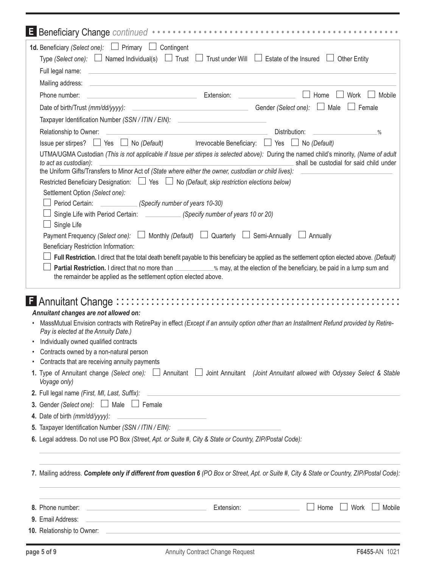|   | Beneficiary Change continued www.www.www.www.www.www.www.ww.ww.                                                                                                                                                                                                                                                                                                                                                                                                                                                                                                                                                                                                                                                                                                                |                                         |                |
|---|--------------------------------------------------------------------------------------------------------------------------------------------------------------------------------------------------------------------------------------------------------------------------------------------------------------------------------------------------------------------------------------------------------------------------------------------------------------------------------------------------------------------------------------------------------------------------------------------------------------------------------------------------------------------------------------------------------------------------------------------------------------------------------|-----------------------------------------|----------------|
|   | <b>1d.</b> Beneficiary (Select one): $\Box$ Primary $\Box$ Contingent<br>Type (Select one): $\Box$ Named Individual(s) $\Box$ Trust $\Box$ Trust under Will $\Box$ Estate of the Insured $\Box$ Other Entity<br><u> 1989 - Johann Stoff, deutscher Stoff, der Stoff, der Stoff, der Stoff, der Stoff, der Stoff, der Stoff, der S</u><br>Full legal name:                                                                                                                                                                                                                                                                                                                                                                                                                      |                                         |                |
|   | Mailing address:                                                                                                                                                                                                                                                                                                                                                                                                                                                                                                                                                                                                                                                                                                                                                               |                                         |                |
|   | <u>Extension: Extension: Extension: Extension: Extension: Extension: Extension: Extension: Extension: Extension: Extension: Extension: Extension: Extension: Extension: Extension: Extension: Extension: Extension: Extension: E</u><br>Phone number:                                                                                                                                                                                                                                                                                                                                                                                                                                                                                                                          | Home                                    | Mobile<br>Work |
|   |                                                                                                                                                                                                                                                                                                                                                                                                                                                                                                                                                                                                                                                                                                                                                                                |                                         |                |
|   | Taxpayer Identification Number (SSN / ITIN / EIN):                                                                                                                                                                                                                                                                                                                                                                                                                                                                                                                                                                                                                                                                                                                             |                                         |                |
|   | <u> 1989 - Johann John Stone, meilich aus der Stone († 1989)</u><br>Relationship to Owner:                                                                                                                                                                                                                                                                                                                                                                                                                                                                                                                                                                                                                                                                                     | Distribution:                           | $\frac{0}{0}$  |
|   | Issue per stirpes? $\Box$ Yes $\Box$ No (Default) Irrevocable Beneficiary: $\Box$ Yes $\Box$ No (Default)                                                                                                                                                                                                                                                                                                                                                                                                                                                                                                                                                                                                                                                                      |                                         |                |
|   | UTMA/UGMA Custodian (This is not applicable if Issue per stirpes is selected above): During the named child's minority, (Name of adult<br>to act as custodian):                                                                                                                                                                                                                                                                                                                                                                                                                                                                                                                                                                                                                | shall be custodial for said child under |                |
|   | the Uniform Gifts/Transfers to Minor Act of (State where either the owner, custodian or child lives):                                                                                                                                                                                                                                                                                                                                                                                                                                                                                                                                                                                                                                                                          |                                         |                |
|   | Restricted Beneficiary Designation: $\Box$ Yes $\Box$ No (Default, skip restriction elections below)                                                                                                                                                                                                                                                                                                                                                                                                                                                                                                                                                                                                                                                                           |                                         |                |
|   | Settlement Option (Select one):<br>Period Certain: (Specify number of years 10-30)                                                                                                                                                                                                                                                                                                                                                                                                                                                                                                                                                                                                                                                                                             |                                         |                |
|   | Single Life with Period Certain: (Specify number of years 10 or 20)                                                                                                                                                                                                                                                                                                                                                                                                                                                                                                                                                                                                                                                                                                            |                                         |                |
|   | Single Life                                                                                                                                                                                                                                                                                                                                                                                                                                                                                                                                                                                                                                                                                                                                                                    |                                         |                |
|   | Payment Frequency (Select one): $\Box$ Monthly (Default) $\Box$ Quarterly $\Box$ Semi-Annually $\Box$ Annually                                                                                                                                                                                                                                                                                                                                                                                                                                                                                                                                                                                                                                                                 |                                         |                |
|   | Beneficiary Restriction Information:                                                                                                                                                                                                                                                                                                                                                                                                                                                                                                                                                                                                                                                                                                                                           |                                         |                |
|   | Full Restriction. I direct that the total death benefit payable to this beneficiary be applied as the settlement option elected above. (Default)                                                                                                                                                                                                                                                                                                                                                                                                                                                                                                                                                                                                                               |                                         |                |
|   | Partial Restriction. I direct that no more than ___________% may, at the election of the beneficiary, be paid in a lump sum and                                                                                                                                                                                                                                                                                                                                                                                                                                                                                                                                                                                                                                                |                                         |                |
|   | the remainder be applied as the settlement option elected above.                                                                                                                                                                                                                                                                                                                                                                                                                                                                                                                                                                                                                                                                                                               |                                         |                |
| ٠ | Annuitant changes are not allowed on:<br>MassMutual Envision contracts with RetirePay in effect (Except if an annuity option other than an Installment Refund provided by Retire-<br>Pay is elected at the Annuity Date.)<br>Individually owned qualified contracts<br>Contracts owned by a non-natural person<br>Contracts that are receiving annuity payments<br>1. Type of Annuitant change (Select one): $\Box$ Annuitant $\Box$ Joint Annuitant (Joint Annuitant allowed with Odyssey Select & Stable<br>Voyage only)<br>2. Full legal name (First, MI, Last, Suffix):<br><b>3.</b> Gender (Select one): $\Box$ Male $\Box$ Female<br>4. Date of birth (mm/dd/yyyy):<br><u> 1989 - Johann Barbara, martxa al</u><br>5. Taxpayer Identification Number (SSN / ITIN / EIN): |                                         |                |
|   | 6. Legal address. Do not use PO Box (Street, Apt. or Suite #, City & State or Country, ZIP/Postal Code):                                                                                                                                                                                                                                                                                                                                                                                                                                                                                                                                                                                                                                                                       |                                         |                |
|   | 7. Mailing address. Complete only if different from question 6 (PO Box or Street, Apt. or Suite #, City & State or Country, ZIP/Postal Code):                                                                                                                                                                                                                                                                                                                                                                                                                                                                                                                                                                                                                                  |                                         |                |
|   |                                                                                                                                                                                                                                                                                                                                                                                                                                                                                                                                                                                                                                                                                                                                                                                |                                         |                |
|   | 8. Phone number:                                                                                                                                                                                                                                                                                                                                                                                                                                                                                                                                                                                                                                                                                                                                                               | Home                                    | Work<br>Mobile |
|   | 9. Email Address:<br><u> 1989 - Johann Barn, amerikansk politiker (d. 1989)</u>                                                                                                                                                                                                                                                                                                                                                                                                                                                                                                                                                                                                                                                                                                |                                         |                |
|   |                                                                                                                                                                                                                                                                                                                                                                                                                                                                                                                                                                                                                                                                                                                                                                                |                                         |                |
|   |                                                                                                                                                                                                                                                                                                                                                                                                                                                                                                                                                                                                                                                                                                                                                                                |                                         |                |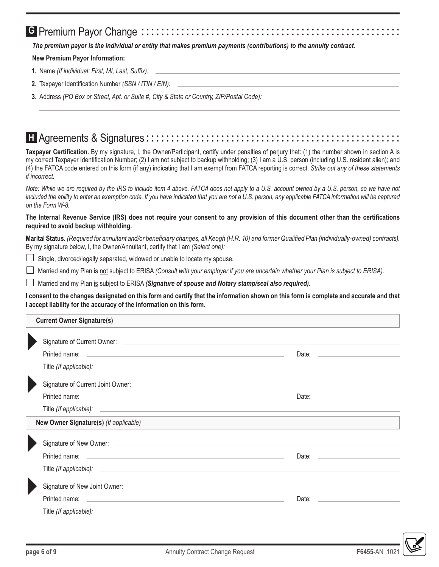# **G** Premium Payor Change :::::::::

The premium payor is the individual or entity that makes premium payments (contributions) to the annuity contract.

#### **New Premium Payor Information:**

- 1. Name (If individual: First, MI, Last, Suffix):
- 2. Taxpayer Identification Number (SSN / ITIN / EIN):
- 3. Address (PO Box or Street, Apt. or Suite #, City & State or Country, ZIP/Postal Code):

### **T** Agreements & Signatures:::::::::::::

Taxpayer Certification. By my signature, I, the Owner/Participant, certify under penalties of perjury that: (1) the number shown in section A is my correct Taxpayer Identification Number; (2) I am not subject to backup withholding; (3) I am a U.S. person (including U.S. resident alien); and (4) the FATCA code entered on this form (if any) indicating that I am exempt from FATCA reporting is correct. Strike out any of these statements if incorrect.

Note: While we are required by the IRS to include item 4 above, FATCA does not apply to a U.S. account owned by a U.S. person, so we have not included the ability to enter an exemption code. If you have indicated that you are not a U.S. person, any applicable FATCA information will be captured on the Form W-8.

#### The Internal Revenue Service (IRS) does not require your consent to any provision of this document other than the certifications required to avoid backup withholding.

Marital Status. (Required for annuitant and/or beneficiary changes, all Keogh (H.R. 10) and former Qualified Plan (individually-owned) contracts). By my signature below, I, the Owner/Annuitant, certify that I am (Select one):

□ Single, divorced/legally separated, widowed or unable to locate my spouse.

Married and my Plan is not subject to ERISA (Consult with your employer if you are uncertain whether your Plan is subject to ERISA).  $\Box$ 

Married and my Plan is subject to ERISA (Signature of spouse and Notary stamp/seal also required).

I consent to the changes designated on this form and certify that the information shown on this form is complete and accurate and that I accept liability for the accuracy of the information on this form.

#### **Current Owner Signature(s)**

| $\blacksquare$ |                                                                                                                                                                                                                                      |  |
|----------------|--------------------------------------------------------------------------------------------------------------------------------------------------------------------------------------------------------------------------------------|--|
|                |                                                                                                                                                                                                                                      |  |
|                |                                                                                                                                                                                                                                      |  |
|                |                                                                                                                                                                                                                                      |  |
|                | Printed name:<br><u> Alexandria de la contrada de la contrada de la contrada de la contrada de la contrada de la contrada de la c</u>                                                                                                |  |
|                |                                                                                                                                                                                                                                      |  |
|                | New Owner Signature(s) (If applicable)                                                                                                                                                                                               |  |
|                |                                                                                                                                                                                                                                      |  |
|                |                                                                                                                                                                                                                                      |  |
|                |                                                                                                                                                                                                                                      |  |
|                |                                                                                                                                                                                                                                      |  |
|                |                                                                                                                                                                                                                                      |  |
|                | Title (If applicable): <u>contract and a set of the set of the set of the set of the set of the set of the set of the set of the set of the set of the set of the set of the set of the set of the set of the set of the set of </u> |  |

**F6455-AN** 

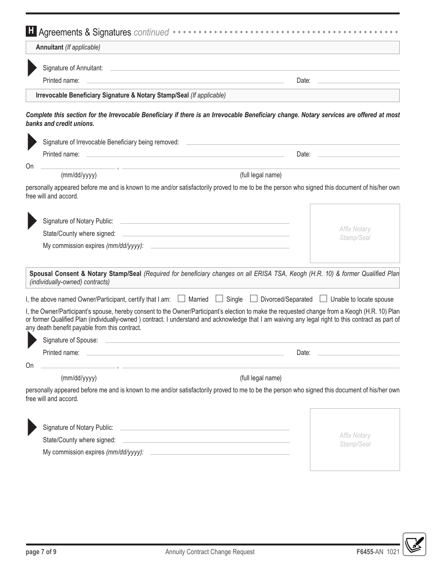|    | Annuitant (If applicable)                                                      |                                                                                                                                                                                                                                                                                                           |
|----|--------------------------------------------------------------------------------|-----------------------------------------------------------------------------------------------------------------------------------------------------------------------------------------------------------------------------------------------------------------------------------------------------------|
|    |                                                                                |                                                                                                                                                                                                                                                                                                           |
|    | Printed name:                                                                  | Date:                                                                                                                                                                                                                                                                                                     |
|    | Irrevocable Beneficiary Signature & Notary Stamp/Seal (If applicable)          |                                                                                                                                                                                                                                                                                                           |
|    | banks and credit unions.                                                       | Complete this section for the Irrevocable Beneficiary if there is an Irrevocable Beneficiary change. Notary services are offered at most                                                                                                                                                                  |
|    | Signature of Irrevocable Beneficiary being removed:                            |                                                                                                                                                                                                                                                                                                           |
|    | Printed name:                                                                  | <u> 1989 - Johann Harry Harry Harry Harry Harry Harry Harry Harry Harry Harry Harry Harry Harry Harry Harry Harry</u><br>Date:<br><u> 1980 - Jan Stein Harry Harry Harry Harry Harry Harry Harry Harry Harry Harry Harry Harry Harry Harry Harry</u>                                                      |
| On |                                                                                | the control of the control of the control of the control of the control of                                                                                                                                                                                                                                |
|    | (mm/dd/yyyy)                                                                   | (full legal name)                                                                                                                                                                                                                                                                                         |
|    | free will and accord.                                                          | personally appeared before me and is known to me and/or satisfactorily proved to me to be the person who signed this document of his/her own                                                                                                                                                              |
|    |                                                                                |                                                                                                                                                                                                                                                                                                           |
|    |                                                                                | <b>Affix Notary</b><br>Stamp/Seal                                                                                                                                                                                                                                                                         |
|    | My commission expires (mm/dd/yyyy):                                            |                                                                                                                                                                                                                                                                                                           |
|    | (individually-owned) contracts)                                                | Spousal Consent & Notary Stamp/Seal (Required for beneficiary changes on all ERISA TSA, Keogh (H.R. 10) & former Qualified Plan                                                                                                                                                                           |
|    | I, the above named Owner/Participant, certify that I am: $\Box$ Married $\Box$ |                                                                                                                                                                                                                                                                                                           |
|    | any death benefit payable from this contract.                                  | Single <b>L</b> Divorced/Separated <b>L</b> Unable to locate spouse                                                                                                                                                                                                                                       |
|    | Signature of Spouse:                                                           |                                                                                                                                                                                                                                                                                                           |
|    | Printed name:                                                                  | Date:                                                                                                                                                                                                                                                                                                     |
|    |                                                                                | I, the Owner/Participant's spouse, hereby consent to the Owner/Participant's election to make the requested change from a Keogh (H.R. 10) Plan<br>or former Qualified Plan (individually-owned) contract. I understand and acknowledge that I am waiving any legal right to this contract as part of      |
|    | (mm/dd/yyyy)                                                                   | (full legal name)                                                                                                                                                                                                                                                                                         |
|    | free will and accord.                                                          |                                                                                                                                                                                                                                                                                                           |
|    | Signature of Notary Public:                                                    | <u> 1989 - Johann Harry Harry Harry Harry Harry Harry Harry Harry Harry Harry Harry Harry Harry Harry Harry Harry</u>                                                                                                                                                                                     |
| On | State/County where signed:                                                     | personally appeared before me and is known to me and/or satisfactorily proved to me to be the person who signed this document of his/her own<br><b>Affix Notary</b><br><u> 1989 - Johann Stein, mars an deutscher Stein und der Stein und der Stein und der Stein und der Stein und der</u><br>Stamp/Seal |

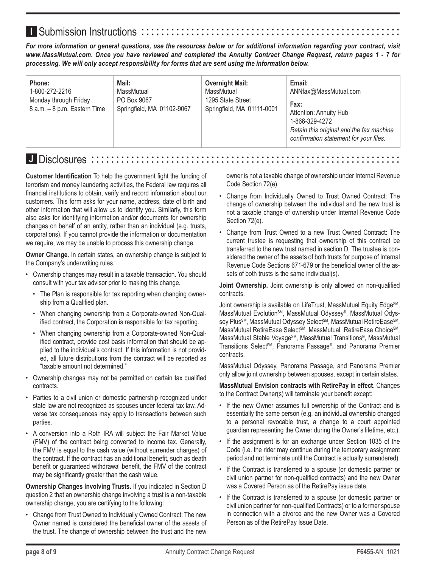# **I** Submission Instructions ::::::

*For more information or general questions, use the resources below or for additional information regarding your contract, visit www.MassMutual.com. Once you have reviewed and completed the Annuity Contract Change Request, return pages 1 - 7 for processing. We will only accept responsibility for forms that are sent using the information below.*

| Mail:<br>Email:<br>Phone:<br><b>Overnight Mail:</b><br>1-800-272-2216<br>MassMutual<br>ANNfax@MassMutual.com<br>MassMutual<br>Monday through Friday<br>PO Box 9067<br>1295 State Street<br>Fax:<br>8 a.m. - 8 p.m. Eastern Time<br>Springfield, MA 01102-9067<br>Springfield, MA 01111-0001<br>Attention: Annuity Hub<br>1-866-329-4272<br>Retain this original and the fax machine<br>confirmation statement for your files. |
|-------------------------------------------------------------------------------------------------------------------------------------------------------------------------------------------------------------------------------------------------------------------------------------------------------------------------------------------------------------------------------------------------------------------------------|
|-------------------------------------------------------------------------------------------------------------------------------------------------------------------------------------------------------------------------------------------------------------------------------------------------------------------------------------------------------------------------------------------------------------------------------|

### **J** Disclosures ��������������������������������������������������������������

**Customer Identification** To help the government fight the funding of terrorism and money laundering activities, the Federal law requires all financial institutions to obtain, verify and record information about our customers. This form asks for your name, address, date of birth and other information that will allow us to identify you. Similarly, this form also asks for identifying information and/or documents for ownership changes on behalf of an entity, rather than an individual (e.g. trusts, corporations). If you cannot provide the information or documentation we require, we may be unable to process this ownership change.

**Owner Change.** In certain states, an ownership change is subject to the Company's underwriting rules.

- Ownership changes may result in a taxable transaction. You should consult with your tax advisor prior to making this change.
	- The Plan is responsible for tax reporting when changing ownership from a Qualified plan.
	- When changing ownership from a Corporate-owned Non-Qualified contract, the Corporation is responsible for tax reporting.
	- When changing ownership from a Corporate-owned Non-Qualified contract, provide cost basis information that should be applied to the individual's contract. If this information is not provided, all future distributions from the contract will be reported as "taxable amount not determined."
- Ownership changes may not be permitted on certain tax qualified contracts.
- Parties to a civil union or domestic partnership recognized under state law are not recognized as spouses under federal tax law. Adverse tax consequences may apply to transactions between such parties.
- A conversion into a Roth IRA will subject the Fair Market Value (FMV) of the contract being converted to income tax. Generally, the FMV is equal to the cash value (without surrender charges) of the contract. If the contract has an additional benefit, such as death benefit or guaranteed withdrawal benefit, the FMV of the contract may be significantly greater than the cash value.

**Ownership Changes Involving Trusts.** If you indicated in Section D question 2 that an ownership change involving a trust is a non-taxable ownership change, you are certifying to the following:

• Change from Trust Owned to Individually Owned Contract: The new Owner named is considered the beneficial owner of the assets of the trust. The change of ownership between the trust and the new owner is not a taxable change of ownership under Internal Revenue Code Section 72(e).

- Change from Individually Owned to Trust Owned Contract: The change of ownership between the individual and the new trust is not a taxable change of ownership under Internal Revenue Code Section 72(e).
- Change from Trust Owned to a new Trust Owned Contract: The current trustee is requesting that ownership of this contract be transferred to the new trust named in section D. The trustee is considered the owner of the assets of both trusts for purpose of Internal Revenue Code Sections 671-679 or the beneficial owner of the assets of both trusts is the same individual(s).

**Joint Ownership.** Joint ownership is only allowed on non-qualified contracts.

Joint ownership is available on LifeTrust, MassMutual Equity Edge<sup>SM</sup>, MassMutual Evolution<sup>SM</sup>, MassMutual Odyssey®, MassMutual Odyssey Plus<sup>sM</sup>, MassMutual Odyssey Select<sup>sM</sup>, MassMutual RetireEase<sup>sM</sup>, MassMutual RetireEase Select<sup>SM</sup>, MassMutual RetireEase Choice<sup>SM</sup>, MassMutual Stable Voyage<sup>SM</sup>, MassMutual Transitions®, MassMutual Transitions Select<sup>SM</sup>, Panorama Passage®, and Panorama Premier contracts.

MassMutual Odyssey, Panorama Passage, and Panorama Premier only allow joint ownership between spouses, except in certain states.

**MassMutual Envision contracts with RetirePay in effect**. Changes to the Contract Owner(s) will terminate your benefit except:

- If the new Owner assumes full ownership of the Contract and is essentially the same person (e.g. an individual ownership changed to a personal revocable trust, a change to a court appointed guardian representing the Owner during the Owner's lifetime, etc.).
- If the assignment is for an exchange under Section 1035 of the Code (i.e. the rider may continue during the temporary assignment period and not terminate until the Contract is actually surrendered).
- If the Contract is transferred to a spouse (or domestic partner or civil union partner for non-qualified contracts) and the new Owner was a Covered Person as of the RetirePay issue date.
- If the Contract is transferred to a spouse (or domestic partner or civil union partner for non-qualified Contracts) or to a former spouse in connection with a divorce and the new Owner was a Covered Person as of the RetirePay Issue Date.